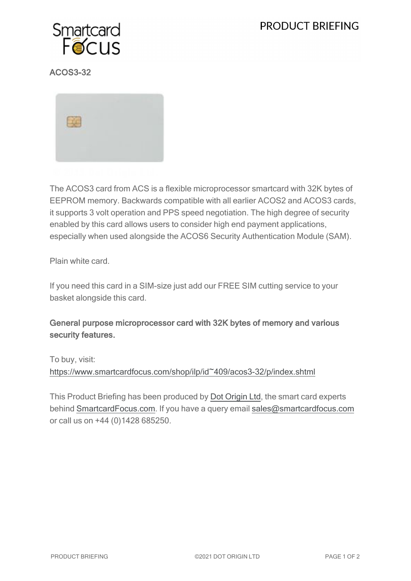# **PRODUCT BRIEFING**



# ACOS3-32



The ACOS3 card from ACS is a flexible microprocessor smartcard with 32K bytes of EEPROM memory. Backwards compatible with all earlier ACOS2 and ACOS3 cards, it supports 3 volt operation and PPS speed negotiation. The high degree of security enabled by this card allows users to consider high end payment applications, especially when used alongside the ACOS6 Security Authentication Module (SAM).

Plain white card.

If you need this card in a SIM-size just add our FREE SIM cutting service to your basket alongside this card.

# General purpose microprocessor card with 32K bytes of memory and various security features.

# To buy, visit: [https://www.smartcardfocus.com/shop/ilp/id~409/acos3-32/p/index.shtml](https://www.smartcardfocus.com/shop/ilp/id~409/acos3-32/p/index.shtml?utm_source=download&utm_medium=pdf&utm_campaign=scf-product-pdf)

This Product Briefing has been produced by Dot [Origin](https://www.dotorigin.com/) Ltd, the smart card experts behind [SmartcardFocus.com.](https://www.smartcardfocus.com/?utm_source=download&utm_medium=pdf&utm_campaign=scf-product-pdf) If you have a query email [sales@smartcardfocus.com](mailto:sales@smartcardfocus.com?subject=Product Briefing query) or call us on +44 (0)1428 685250.